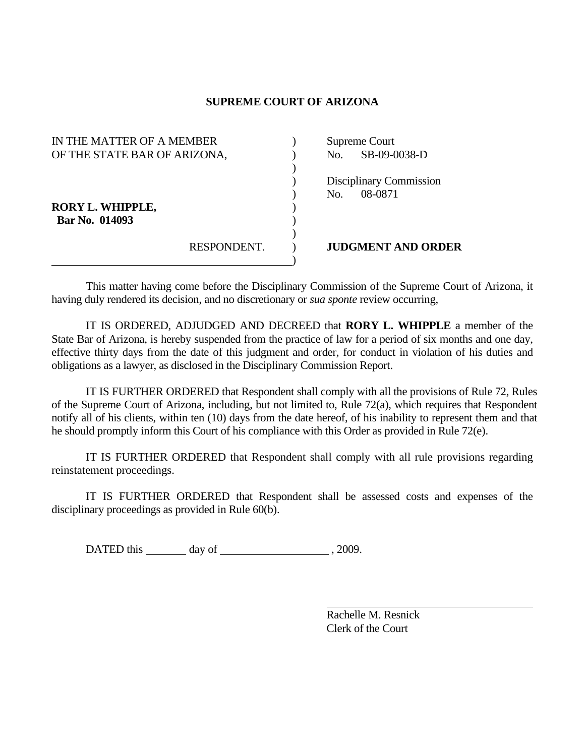## **SUPREME COURT OF ARIZONA**

| IN THE MATTER OF A MEMBER    |             | Supreme Court |                           |
|------------------------------|-------------|---------------|---------------------------|
| OF THE STATE BAR OF ARIZONA, |             |               | No. SB-09-0038-D          |
|                              |             |               |                           |
|                              |             |               | Disciplinary Commission   |
|                              |             | No.           | 08-0871                   |
| <b>RORY L. WHIPPLE,</b>      |             |               |                           |
| Bar No. 014093               |             |               |                           |
|                              |             |               |                           |
|                              | RESPONDENT. |               | <b>JUDGMENT AND ORDER</b> |
|                              |             |               |                           |

 This matter having come before the Disciplinary Commission of the Supreme Court of Arizona, it having duly rendered its decision, and no discretionary or *sua sponte* review occurring,

 IT IS ORDERED, ADJUDGED AND DECREED that **RORY L. WHIPPLE** a member of the State Bar of Arizona, is hereby suspended from the practice of law for a period of six months and one day, effective thirty days from the date of this judgment and order, for conduct in violation of his duties and obligations as a lawyer, as disclosed in the Disciplinary Commission Report.

 IT IS FURTHER ORDERED that Respondent shall comply with all the provisions of Rule 72, Rules of the Supreme Court of Arizona, including, but not limited to, Rule 72(a), which requires that Respondent notify all of his clients, within ten (10) days from the date hereof, of his inability to represent them and that he should promptly inform this Court of his compliance with this Order as provided in Rule 72(e).

 IT IS FURTHER ORDERED that Respondent shall comply with all rule provisions regarding reinstatement proceedings.

 IT IS FURTHER ORDERED that Respondent shall be assessed costs and expenses of the disciplinary proceedings as provided in Rule 60(b).

DATED this day of  $\qquad \qquad$  , 2009.

 Rachelle M. Resnick Clerk of the Court